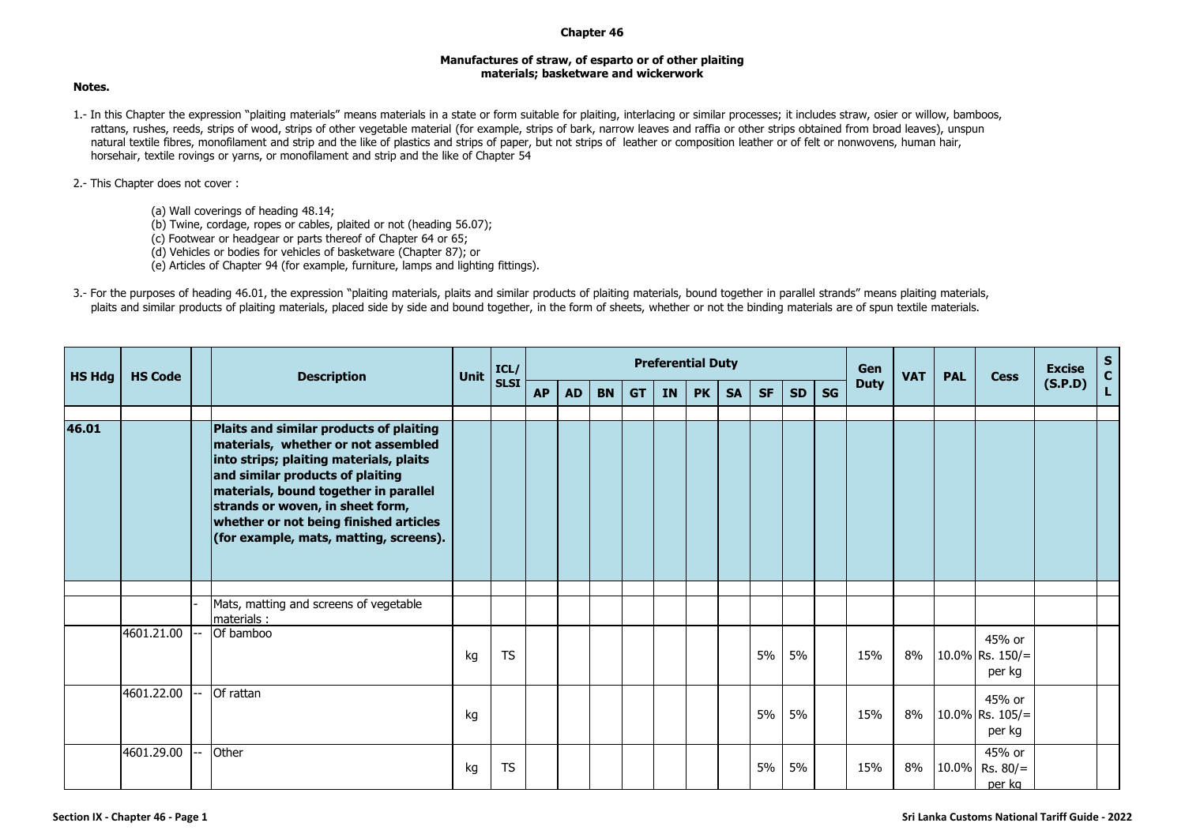## **Chapter 46**

## **Manufactures of straw, of esparto or of other plaiting materials; basketware and wickerwork**

## **Notes.**

1.- In this Chapter the expression "plaiting materials" means materials in a state or form suitable for plaiting, interlacing or similar processes; it includes straw, osier or willow, bamboos, rattans, rushes, reeds, strips of wood, strips of other vegetable material (for example, strips of bark, narrow leaves and raffia or other strips obtained from broad leaves), unspun natural textile fibres, monofilament and strip and the like of plastics and strips of paper, but not strips of leather or composition leather or of felt or nonwovens, human hair, horsehair, textile rovings or yarns, or monofilament and strip and the like of Chapter 54

## 2.- This Chapter does not cover :

- (a) Wall coverings of heading 48.14;
- (b) Twine, cordage, ropes or cables, plaited or not (heading 56.07);
- (c) Footwear or headgear or parts thereof of Chapter 64 or 65;
- (d) Vehicles or bodies for vehicles of basketware (Chapter 87); or
- (e) Articles of Chapter 94 (for example, furniture, lamps and lighting fittings).
- 3.- For the purposes of heading 46.01, the expression "plaiting materials, plaits and similar products of plaiting materials, bound together in parallel strands" means plaiting materials, plaits and similar products of plaiting materials, placed side by side and bound together, in the form of sheets, whether or not the binding materials are of spun textile materials.

| <b>HS Hdg</b> | <b>HS Code</b> | <b>Description</b>                                                                                                                                                                                                                                                                                                             | <b>Unit</b> | ICL/<br><b>SLSI</b> | <b>Preferential Duty</b> |           |           |           |           |           |           |           |           |           | Gen         | <b>VAT</b> | <b>PAL</b> | <b>Cess</b>                            | <b>Excise</b> | $S_{C}$ |
|---------------|----------------|--------------------------------------------------------------------------------------------------------------------------------------------------------------------------------------------------------------------------------------------------------------------------------------------------------------------------------|-------------|---------------------|--------------------------|-----------|-----------|-----------|-----------|-----------|-----------|-----------|-----------|-----------|-------------|------------|------------|----------------------------------------|---------------|---------|
|               |                |                                                                                                                                                                                                                                                                                                                                |             |                     | <b>AP</b>                | <b>AD</b> | <b>BN</b> | <b>GT</b> | <b>IN</b> | <b>PK</b> | <b>SA</b> | <b>SF</b> | <b>SD</b> | <b>SG</b> | <b>Duty</b> |            |            |                                        | (S.P.D)       | L.      |
| 46.01         |                | Plaits and similar products of plaiting<br>materials, whether or not assembled<br>into strips; plaiting materials, plaits<br>and similar products of plaiting<br>materials, bound together in parallel<br>strands or woven, in sheet form,<br>whether or not being finished articles<br>(for example, mats, matting, screens). |             |                     |                          |           |           |           |           |           |           |           |           |           |             |            |            |                                        |               |         |
|               |                |                                                                                                                                                                                                                                                                                                                                |             |                     |                          |           |           |           |           |           |           |           |           |           |             |            |            |                                        |               |         |
|               |                | Mats, matting and screens of vegetable<br>materials:                                                                                                                                                                                                                                                                           |             |                     |                          |           |           |           |           |           |           |           |           |           |             |            |            |                                        |               |         |
|               | 4601.21.00     | Of bamboo                                                                                                                                                                                                                                                                                                                      | kg          | <b>TS</b>           |                          |           |           |           |           |           |           | 5%        | 5%        |           | 15%         | 8%         |            | 45% or<br>10.0% Rs. $150/$ =<br>per kg |               |         |
|               | 4601.22.00     | Of rattan                                                                                                                                                                                                                                                                                                                      | kg          |                     |                          |           |           |           |           |           |           | 5%        | 5%        |           | 15%         | 8%         |            | 45% or<br>10.0% Rs. $105/$ =<br>per kg |               |         |
|               | 4601.29.00     | Other                                                                                                                                                                                                                                                                                                                          | kg          | <b>TS</b>           |                          |           |           |           |           |           |           | 5%        | 5%        |           | 15%         | 8%         |            | 45% or<br>10.0% Rs. 80/=<br>per kg     |               |         |